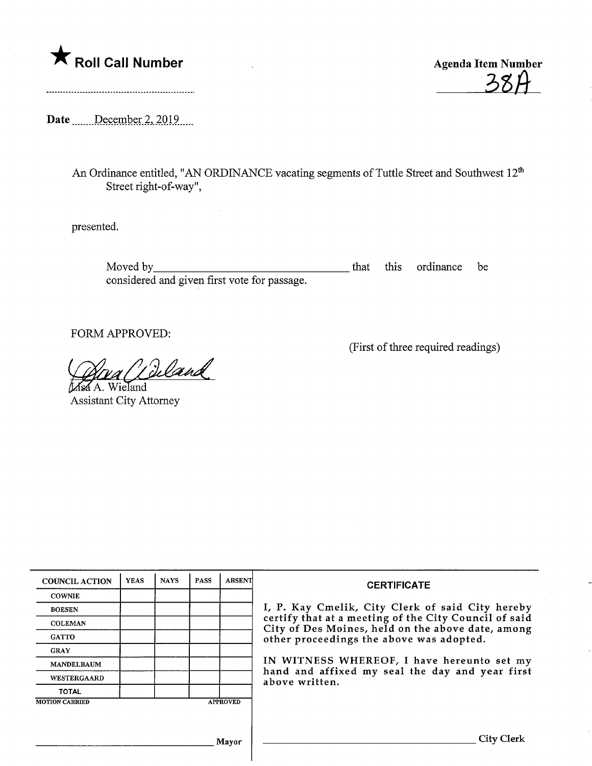



Date .......December 2, 2019.....

An Ordinance entitled, "AN ORDINANCE vacating segments of Tuttle Street and Southwest 12<sup>th</sup> Street right-of-way",

presented.

Moved by\_ that this ordinance be considered and given first vote for passage.

FORM APPROVED:

(First of three required readings)

<u>Area (Lie</u><br>a A. Wieland

Assistant City Attorney

| <b>COUNCIL ACTION</b>                    | <b>YEAS</b> | <b>NAYS</b> | <b>PASS</b> | <b>ABSENT</b> | <b>CERTIFICATE</b><br>I, P. Kay Cmelik, City Clerk of said City hereby<br>certify that at a meeting of the City Council of said<br>City of Des Moines, held on the above date, among<br>other proceedings the above was adopted.<br>IN WITNESS WHEREOF, I have hereunto set my<br>hand and affixed my seal the day and year first<br>above written. |
|------------------------------------------|-------------|-------------|-------------|---------------|-----------------------------------------------------------------------------------------------------------------------------------------------------------------------------------------------------------------------------------------------------------------------------------------------------------------------------------------------------|
| <b>COWNIE</b>                            |             |             |             |               |                                                                                                                                                                                                                                                                                                                                                     |
| <b>BOESEN</b>                            |             |             |             |               |                                                                                                                                                                                                                                                                                                                                                     |
| <b>COLEMAN</b>                           |             |             |             |               |                                                                                                                                                                                                                                                                                                                                                     |
| <b>GATTO</b>                             |             |             |             |               |                                                                                                                                                                                                                                                                                                                                                     |
| <b>GRAY</b>                              |             |             |             |               |                                                                                                                                                                                                                                                                                                                                                     |
| <b>MANDELBAUM</b>                        |             |             |             |               |                                                                                                                                                                                                                                                                                                                                                     |
| WESTERGAARD                              |             |             |             |               |                                                                                                                                                                                                                                                                                                                                                     |
| <b>TOTAL</b>                             |             |             |             |               |                                                                                                                                                                                                                                                                                                                                                     |
| <b>MOTION CARRIED</b><br><b>APPROVED</b> |             |             |             |               |                                                                                                                                                                                                                                                                                                                                                     |
|                                          |             |             |             |               |                                                                                                                                                                                                                                                                                                                                                     |
|                                          |             |             |             |               |                                                                                                                                                                                                                                                                                                                                                     |
| Mayor                                    |             |             |             |               | City Clerk                                                                                                                                                                                                                                                                                                                                          |
|                                          |             |             |             |               |                                                                                                                                                                                                                                                                                                                                                     |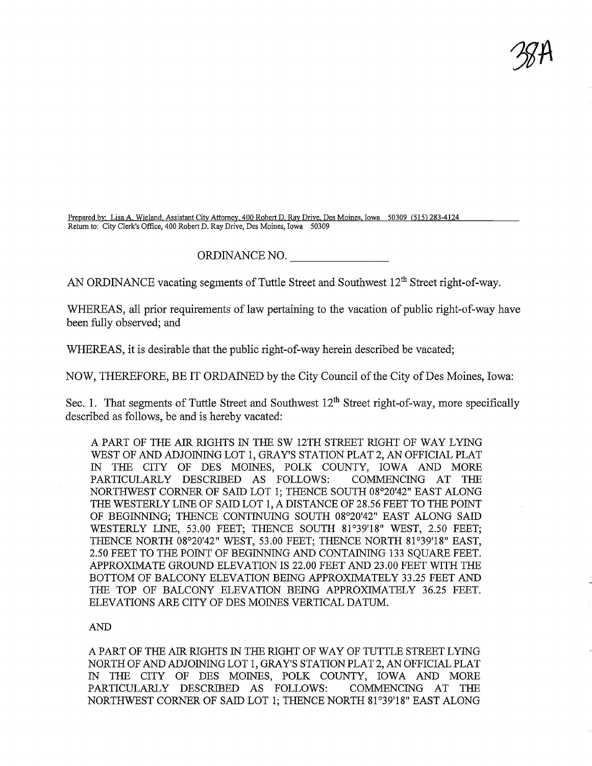$\mathcal{B}$ A

Prepared bv: Lisa A. Wieland. Assistant City Attorney. 400 Robert D. Ray Drive. Des Moines. Iowa 50309 (515) 283-4124 Return to: City Clerk's Office, 400 Robert D. Ray Drive, Des Moines, Iowa 50309

## ORDINANCE NO.

AN ORDINANCE vacating segments of Tuttle Street and Southwest  $12<sup>th</sup>$  Street right-of-way.

WHEREAS, all prior requirements of law pertaining to the vacation of public right-of-way have been fully observed; and

WHEREAS, it is desirable that the public right-of-way herein described be vacated;

NOW, THEREFORE, BE IT ORDAINED by the City Council of the City of Des Moines, Iowa:

Sec. 1. That segments of Tuttle Street and Southwest  $12<sup>th</sup>$  Street right-of-way, more specifically described as follows, be and is hereby vacated:

A PART OF THE AIR. RIGHTS IN THE SW 12TH STREET RIGHT OF WAY LYING WEST OF AND ADJOINING LOT 1, GRAY'S STATION PLAT 2, AN OFFICIAL PLAT IN THE CITY OF DES MOINES, POLK COUNTY, IOWA AND MORE PARTICULARLY DESCRIBED AS FOLLOWS: COMMENCING AT THE NORTHWEST CORNER OF SAID LOT 1; THENCE SOUTH 08°20'42" EAST ALONG THE WESTERLY LINE OF SAID LOT 1, A DISTANCE OF 28.56 FEET TO THE POINT OF BEGINNING; THENCE CONTINUING SOUTH 08°20'42" EAST ALONG SAID WESTERLY LINE, 53.00 FEET; THENCE SOUTH 81°39'18" WEST, 2.50 FEET; THENCE NORTH 08°20'42" WEST, 53.00 FEET; THENCE NORTH 81°39'18" EAST, 2.50 FEET TO THE POINT OF BEGINNING AND CONTAINING 133 SQUARE FEET. APPROXIMATE GROUND ELEVATION IS 22.00 FEET AND 23.00 FEET WITH THE BOTTOM OF BALCONY ELEVATION BEING APPROXIMATELY 33.25 FEET AND THE TOP OF BALCONY ELEVATION BEING APPROXIMATELY 36.25 FEET. ELEVATIONS ARE CITY OF DES MOINES VERTICAL DATUM.

## AND

A PART OF THE AIR RIGHTS IN THE RIGHT OF WAY OF TUTTLE STREET LYING NORTH OF AND ADJOINING LOT 1, GRAY'S STATION PLAT 2, AN OFFICIAL PLAT IN THE CITY OF DES MOINES, POLK COUNTY, IOWA AND MORE PARTICULARLY DESCRIBED AS FOLLOWS: COMMENCING AT THE NORTHWEST CORNER OF SAID LOT 1; THENCE NORTH 81°39'18" EAST ALONG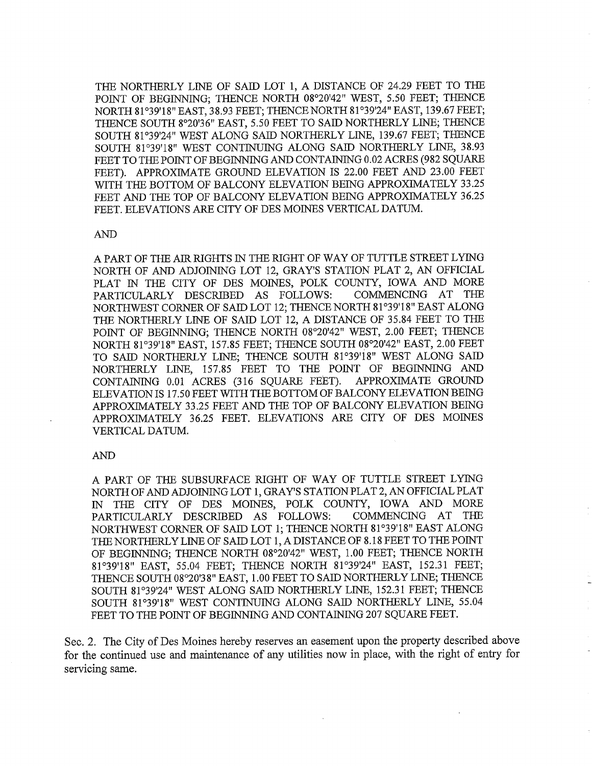THE NORTHERLY LINE OF SAID LOT 1, A DISTANCE OF 24.29 FEET TO THE POINT OF BEGINNING; THENCE NORTH 08°20'42" WEST, 5.50 FEET; THENCE NORTH 81°39'18" EAST, 38.93 FEET; THENCE NORTH 81°39'24" EAST, 139.67 FEET; THENCE SOUTH 8°20'36" EAST, 5.50 FEET TO SAID NORTHERLY LINE; THENCE SOUTH 81°39'24" WEST ALONG SAID NORTHERLY LINE, 139.67 FEET; THENCE SOUTH 81°39'18" WEST CONTINUING ALONG SAID NORTHERLY LINE, 38.93 FEET TO THE POINT OF BEGINNING AND CONTAINING 0.02 ACRES (982 SQUARE FEET). APPROXIMATE GROUND ELEVATION IS 22.00 FEET AND 23.00 FEET WITH THE BOTTOM OF BALCONY ELEVATION BEING APPROXIMATELY 33.25 FEET AND THE TOP OF BALCONY ELEVATION BEING APPROXIMATELY 36.25 FEET. ELEVATIONS ARE CITY OF DES MOINES VERTICAL DATUM.

## AND

A PART OF THE AIR RIGHTS IN THE RIGHT OF WAY OF TUTTLE STREET LYING NORTH OF AND ADJOINING LOT 12, GRAY'S STATION PLAT 2, AN OFFICIAL PLAT IN THE CITY OF DES MOINES, POLK COUNTY, IOWA AND MORE PARTICULARLY DESCRIBED AS FOLLOWS: COMMENCING AT THE PARTICULARLY DESCRIBED AS FOLLOWS: NORTHWEST CORNER OF SAID LOT 12; THENCE NORTH 81°39'18" EAST ALONG THE NORTHERLY LINE OF SAID LOT 12, A DISTANCE OF 35.84 FEET TO THE POINT OF BEGINNING; THENCE NORTH 08°20'42" WEST, 2.00 FEET; THENCE NORTH 81°39'18" EAST, 157.85 FEET; THENCE SOUTH 08°20'42" EAST, 2.00 FEET TO SAID NORTHERLY LINE; THENCE SOUTH 81°39'18" WEST ALONG SAID NORTHERLY LINE, 157.85 FEET TO THE POINT OF BEGINNING AND CONTAINING 0.01 ACRES (316 SQUARE FEET). APPROXIMATE GROUND ELEVATION IS 17.50 FEET WITH THE BOTTOM OF BALCONY ELEVATION BEING APPROXIMATELY 33.25 FEET AND THE TOP OF BALCONY ELEVATION BEING APPROXIMATELY 36.25 FEET. ELEVATIONS ARE CITY OF DES MOINES VERTICAL DATUM.

## AND

A PART OF THE SUBSURFACE RIGHT OF WAY OF TUTTLE STREET LYING NORTH OF AND ADJOINING LOT 1, GRAY'S STATION PLAT 2, AN OFFICIAL PLAT IN THE CITY OF DES MOINES, POLK COUNTY, IOWA AND MORE PARTICULARLY DESCRIBED AS FOLLOWS: COMMENCING AT THE PARTICULARLY DESCRIBED AS FOLLOWS: NORTHWEST CORNER OF SAID LOT 1; THENCE NORTH 81°39'18" EAST ALONG THE NORTHERLY LINE OF SAID LOT 1, A DISTANCE OF 8.18 FEET TO THE POINT OF BEGINNING; THENCE NORTH 08°20'42" WEST, 1.00 FEET; THENCE NORTH 81°39'18" EAST, 55.04 FEET; THENCE NORTH 81°39'24" EAST, 152.31 FEET; THENCE SOUTH 08°20'38" EAST, 1.00 FEET TO SADD NORTHERLY LINE; THENCE SOUTH 81°39'24" WEST ALONG SAID NORTHERLY LINE, 152.31 FEET; THENCE SOUTH 81°39'18" WEST CONTINUING ALONG SAID NORTHERLY LINE, 55.04 FEET TO THE POINT OF BEGINNING AND CONTAINING 207 SQUARE FEET.

Sec. 2. The City of Des Moines hereby reserves an easement upon the property described above for the continued use and maintenance of any utilities now in place, with the right of entry for servicing same.